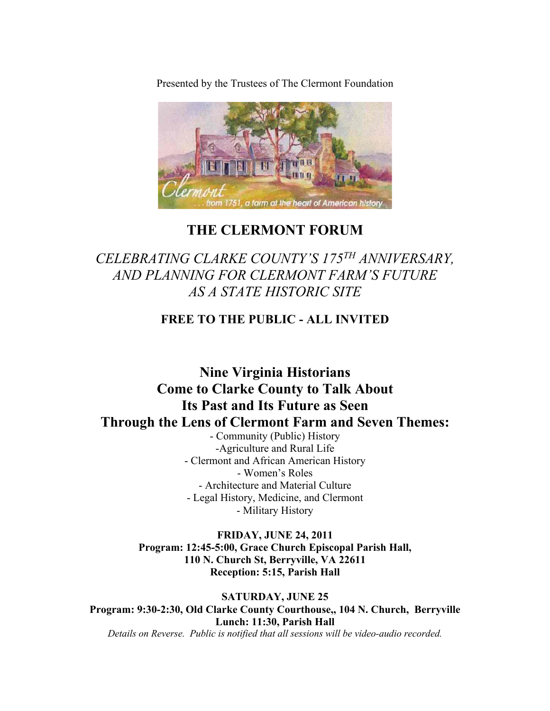Presented by the Trustees of The Clermont Foundation



## **THE CLERMONT FORUM**

# *CELEBRATING CLARKE COUNTY'S 175TH ANNIVERSARY, AND PLANNING FOR CLERMONT FARM'S FUTURE AS A STATE HISTORIC SITE*

### **FREE TO THE PUBLIC - ALL INVITED**

# **Nine Virginia Historians Come to Clarke County to Talk About Its Past and Its Future as Seen Through the Lens of Clermont Farm and Seven Themes:**

- Community (Public) History -Agriculture and Rural Life - Clermont and African American History - Women's Roles - Architecture and Material Culture - Legal History, Medicine, and Clermont - Military History

**FRIDAY, JUNE 24, 2011 Program: 12:45-5:00, Grace Church Episcopal Parish Hall, 110 N. Church St, Berryville, VA 22611 Reception: 5:15, Parish Hall**

**SATURDAY, JUNE 25 Program: 9:30-2:30, Old Clarke County Courthouse,, 104 N. Church, Berryville Lunch: 11:30, Parish Hall** *Details on Reverse. Public is notified that all sessions will be video-audio recorded.*